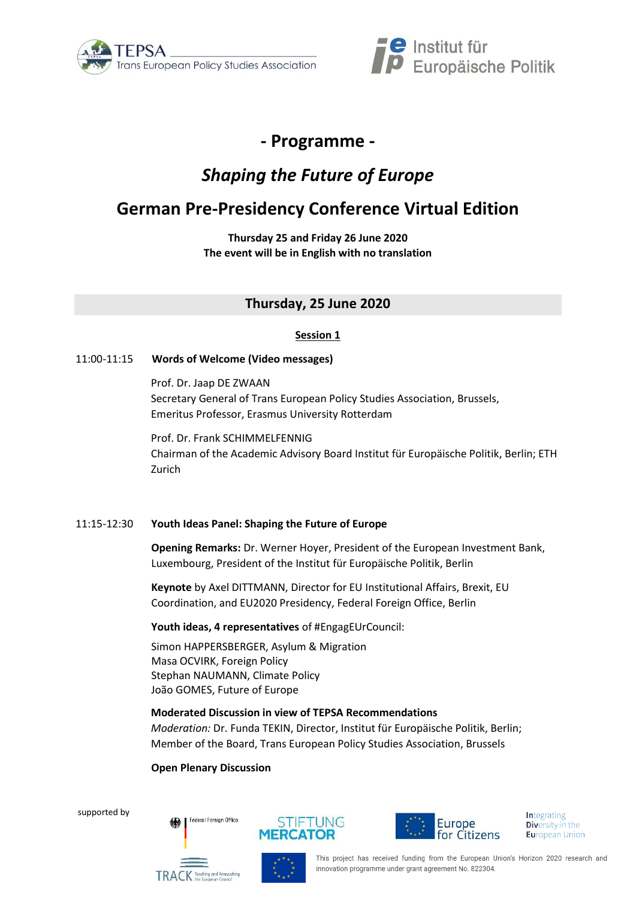



## **- Programme -**

# *Shaping the Future of Europe*

# **German Pre-Presidency Conference Virtual Edition**

**Thursday 25 and Friday 26 June 2020 The event will be in English with no translation**

## **Thursday, 25 June 2020**

## **Session 1**

## 11:00-11:15 **Words of Welcome (Video messages)**

Prof. Dr. Jaap DE ZWAAN Secretary General of Trans European Policy Studies Association, Brussels, Emeritus Professor, Erasmus University Rotterdam

Prof. Dr. Frank SCHIMMELFENNIG Chairman of the Academic Advisory Board Institut für Europäische Politik, Berlin; ETH Zurich

## 11:15-12:30 **Youth Ideas Panel: Shaping the Future of Europe**

**Opening Remarks:** Dr. Werner Hoyer, President of the European Investment Bank, Luxembourg, President of the Institut für Europäische Politik, Berlin

**Keynote** by Axel DITTMANN, Director for EU Institutional Affairs, Brexit, EU Coordination, and EU2020 Presidency, Federal Foreign Office, Berlin

**Youth ideas, 4 representatives** of #EngagEUrCouncil:

Simon HAPPERSBERGER, Asylum & Migration Masa OCVIRK, Foreign Policy Stephan NAUMANN, Climate Policy João GOMES, Future of Europe

**Moderated Discussion in view of TEPSA Recommendations**

*Moderation:* Dr. Funda TEKIN, Director, Institut für Europäische Politik, Berlin; Member of the Board, Trans European Policy Studies Association, Brussels

## **Open Plenary Discussion**

Federal Foreign Office

supported by







**Integrating Diversity in the European Union**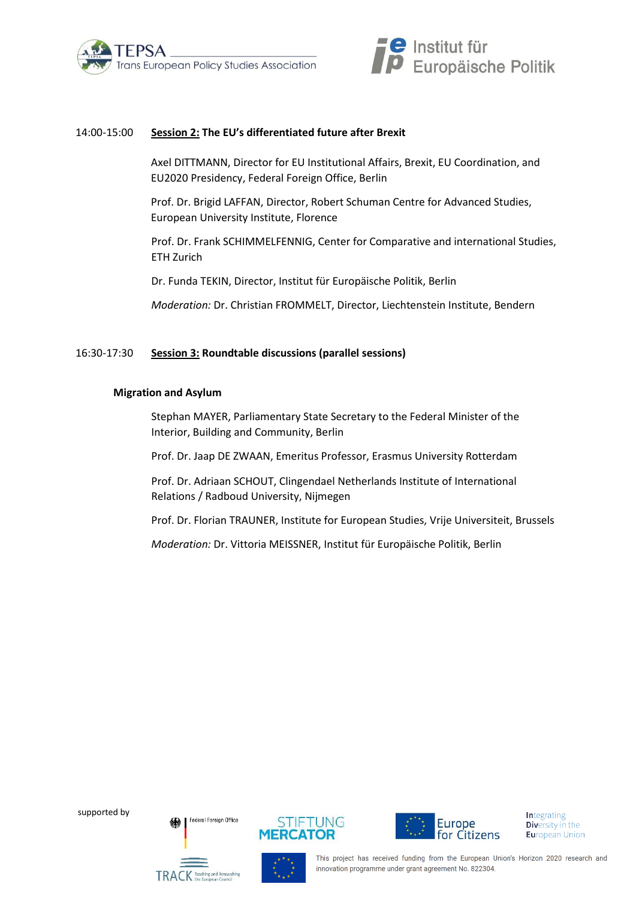



#### 14:00-15:00 **Session 2: The EU's differentiated future after Brexit**

Axel DITTMANN, Director for EU Institutional Affairs, Brexit, EU Coordination, and EU2020 Presidency, Federal Foreign Office, Berlin

Prof. Dr. Brigid LAFFAN, Director, Robert Schuman Centre for Advanced Studies, European University Institute, Florence

Prof. Dr. Frank SCHIMMELFENNIG, Center for Comparative and international Studies, ETH Zurich

Dr. Funda TEKIN, Director, Institut für Europäische Politik, Berlin

*Moderation:* Dr. Christian FROMMELT, Director, Liechtenstein Institute, Bendern

#### 16:30-17:30 **Session 3: Roundtable discussions (parallel sessions)**

#### **Migration and Asylum**

Stephan MAYER, Parliamentary State Secretary to the Federal Minister of the Interior, Building and Community, Berlin

Prof. Dr. Jaap DE ZWAAN, Emeritus Professor, Erasmus University Rotterdam

Prof. Dr. Adriaan SCHOUT, Clingendael Netherlands Institute of International Relations / Radboud University, Nijmegen

Prof. Dr. Florian TRAUNER, Institute for European Studies, Vrije Universiteit, Brussels

*Moderation:* Dr. Vittoria MEISSNER, Institut für Europäische Politik, Berlin

supported by

Federal Enreign Office







**Integrating Diversity in the European Union** 

This project has received funding from the European Union's Horizon 2020 research and innovation programme under grant agreement No. 822304.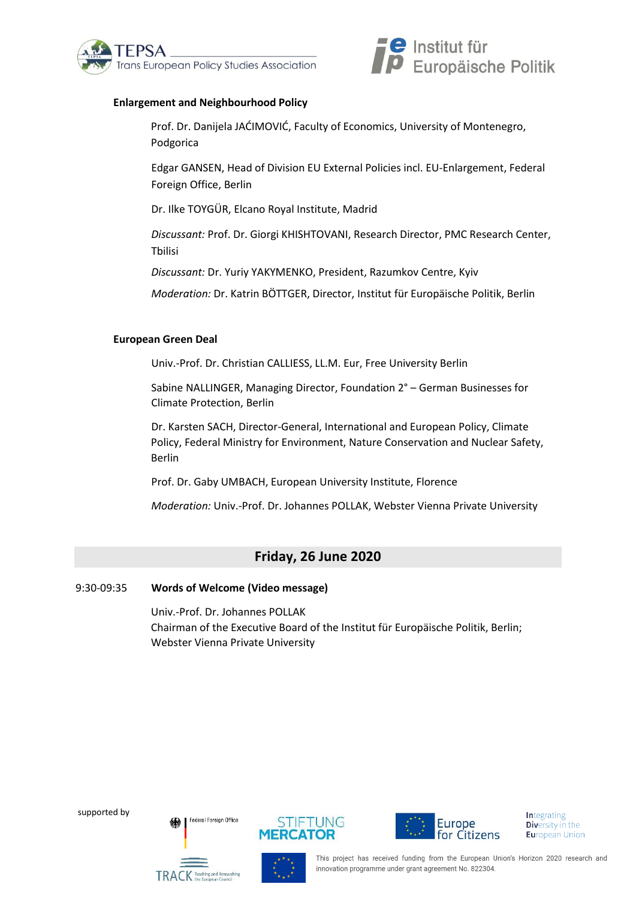



## **Enlargement and Neighbourhood Policy**

Prof. Dr. Danijela JAĆIMOVIĆ, Faculty of Economics, University of Montenegro, Podgorica

Edgar GANSEN, Head of Division EU External Policies incl. EU-Enlargement, Federal Foreign Office, Berlin

Dr. Ilke TOYGÜR, Elcano Royal Institute, Madrid

*Discussant:* Prof. Dr. Giorgi KHISHTOVANI, Research Director, PMC Research Center, Tbilisi

*Discussant:* Dr. Yuriy YAKYMENKO, President, Razumkov Centre, Kyiv

*Moderation:* Dr. Katrin BÖTTGER, Director, Institut für Europäische Politik, Berlin

### **European Green Deal**

Univ.-Prof. Dr. Christian CALLIESS, LL.M. Eur, Free University Berlin

Sabine NALLINGER, Managing Director, Foundation 2° – German Businesses for Climate Protection, Berlin

Dr. Karsten SACH, Director-General, International and European Policy, Climate Policy, Federal Ministry for Environment, Nature Conservation and Nuclear Safety, Berlin

Prof. Dr. Gaby UMBACH, European University Institute, Florence

*Moderation:* Univ.-Prof. Dr. Johannes POLLAK, Webster Vienna Private University

## **Friday, 26 June 2020**

## 9:30-09:35 **Words of Welcome (Video message)**

Univ.-Prof. Dr. Johannes POLLAK Chairman of the Executive Board of the Institut für Europäische Politik, Berlin; Webster Vienna Private University

supported by

Federal Foreign Office





**Integrating Diversity in the European Union** 

This project has received funding from the European Union's Horizon 2020 research and innovation programme under grant agreement No. 822304.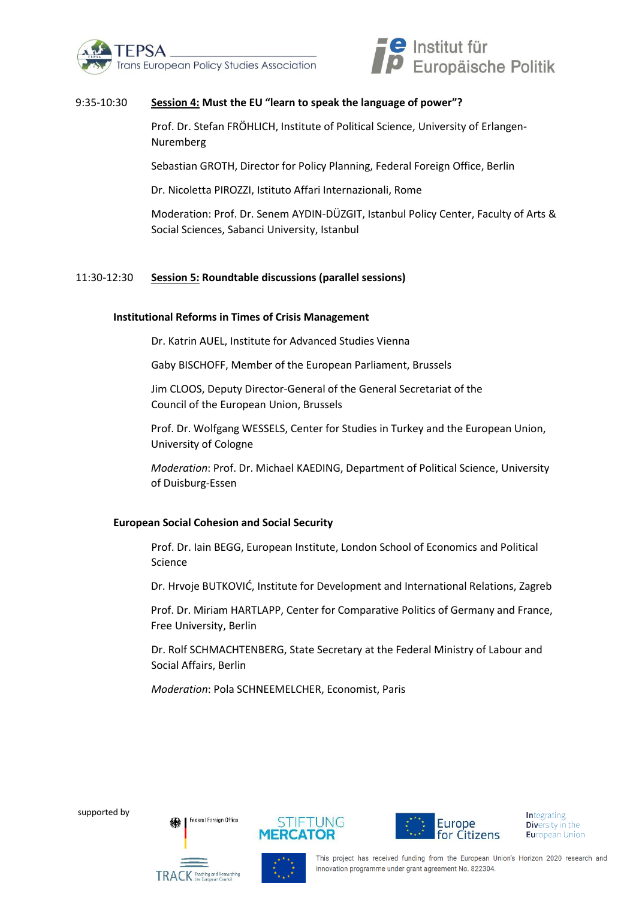



## 9:35-10:30 **Session 4: Must the EU "learn to speak the language of power"?**

Prof. Dr. Stefan FRÖHLICH, Institute of Political Science, University of Erlangen-Nuremberg

Sebastian GROTH, Director for Policy Planning, Federal Foreign Office, Berlin

Dr. Nicoletta PIROZZI, Istituto Affari Internazionali, Rome

Moderation: Prof. Dr. Senem AYDIN-DÜZGIT, Istanbul Policy Center, Faculty of Arts & Social Sciences, Sabanci University, Istanbul

#### 11:30-12:30 **Session 5: Roundtable discussions (parallel sessions)**

#### **Institutional Reforms in Times of Crisis Management**

Dr. Katrin AUEL, Institute for Advanced Studies Vienna

Gaby BISCHOFF, Member of the European Parliament, Brussels

Jim CLOOS, Deputy Director-General of the General Secretariat of the Council of the European Union, Brussels

Prof. Dr. Wolfgang WESSELS, Center for Studies in Turkey and the European Union, University of Cologne

*Moderation*: Prof. Dr. Michael KAEDING, Department of Political Science, University of Duisburg-Essen

#### **European Social Cohesion and Social Security**

Prof. Dr. Iain BEGG, European Institute, London School of Economics and Political Science

Dr. Hrvoje BUTKOVIĆ, Institute for Development and International Relations, Zagreb

Prof. Dr. Miriam HARTLAPP, Center for Comparative Politics of Germany and France, Free University, Berlin

Dr. Rolf SCHMACHTENBERG, State Secretary at the Federal Ministry of Labour and Social Affairs, Berlin

*Moderation*: Pola SCHNEEMELCHER, Economist, Paris

supported by



Federal Enreign Office





**Integrating Diversity in the European Union**